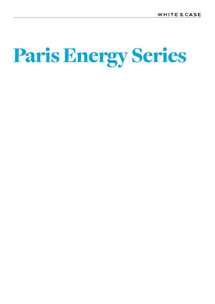# Paris Energy Series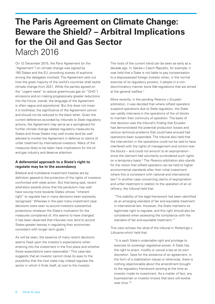# **The Paris Agreement on Climate Change: Beware the Shield? – Arbitral Implications for the Oil and Gas Sector** March 2016

On 12 December 2015, the Paris Agreement (or the "Agreement") on climate change was signed by 195 States and the EU, provoking scenes of euphoria among the delegates involved. The Agreement sets out how the great majority of the world's countries shall tackle climate change from 2021. While the parties agreed on the "urgent need" to reduce greenhouse gas (or "GHG") emissions and on making progressively greater reductions into the future, overall, the language of the Agreement is often vague and aspirational. But this does not mean it is toothless; the significance of the Agreement cannot and should not be reduced to the black letter. Given the current deference accorded by tribunals to State regulatory actions, the Agreement may serve as a springboard for further climate change-related regulatory measures by States and those States may well invoke (and be well advised to invoke) the Agreement in defence to claims of unfair treatment by international investors. Many of the measures likely to be taken have implications for the oil and gas industry and deserve attention.

### **A deferential approach to a State's right to regulate may be in the ascendancy**

Bilateral and multilateral investment treaties are by definition geared to the protection of the rights of investors confronted with state action. But that being said, recent arbitration awards show that the pendulum may well have swung more towards States whose "inherent right" to regulate has in many decisions been expressly recognized.<sup>1</sup> Whereas in the past many investment case decisions were seen to accord investors substantive protections whatever the State's motivation for the measures complained of, this seems to have changed. It has been observed that tribunals now tend to accord States greater leeway in regulating their economies consistent with longer term goals.<sup>2</sup>

As will be seen, the essence of many recent decisions seems fixed upon the investor's expectations when entering into the investment in the first place and whether those expectations were reasonable.3 This case-law suggests that an investor cannot close its eyes to the possibility that the host state may indeed regulate the sector in which it finds itself, at cost to the investor.

The roots of the current trend can be seen as early as a decade ago. In *Saluka v Czech Republic*, for example, it was held that a State is not liable to pay compensation to a dispossessed foreign investor when, in the normal exercise of its regulatory powers, it adopts in a nondiscriminatory manner *bona fide* regulations that are aimed at the general welfare.<sup>4</sup>

More recently, in the pending *Perenco v Ecuador* arbitration, it was decided that where oilfield operators suspend operations due to State regulation, the State can validly intervene in the operations of the oil blocks to maintain their continuity of operation. The basis of that decision was the tribunal's finding that Ecuador had demonstrated the potential production losses and various technical problems that could have ensued had operations been suspended. The tribunal also held that the intervention in the operations could not be said to have interfered with the rights of management and control over the blocks – and could not amount to an expropriation since the claimant had voluntarily surrendered such rights on a temporary basis.<sup>5</sup> The *Perenco* arbitration also stands for the notion that oilfield operators can be held to higher environmental standards after their initial investment where this is consistent with national and international law.<sup>6</sup> In another case concerning claims of expropriation and unfair treatment in relation to the operation of an oil refinery, the tribunal held that:

"The stability of the legal framework has been identified as an emerging standard of fair and equitable treatment in international law. However, the State maintains its legitimate right to regulate, and this right should also be considered when assessing the compliance with the standard of fair and equitable treatment."<sup>7</sup>

This view echoes the *dicta* of the tribunal in *Parkerings v Lithuania* which held that:

"It is each State's undeniable right and privilege to exercise its sovereign legislative power. A State has the right to enact, modify or cancel a law at its own discretion. Save for the existence of an agreement, in the form of a stabilization clause or otherwise, there is nothing objectionable about the amendment brought to the regulatory framework existing at the time an investor made its investment. As a matter of fact, any businessman or investor knows that laws will evolve over time."8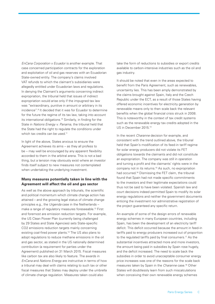*EnCana Corporation v Ecuador* is another example. That case concerned participation contracts for the exploration and exploitation of oil and gas reserves with an Ecuadorian State-owned entity. The company's claims involved VAT refunds to which the claimant's subsidiaries were allegedly entitled under Ecuadorian laws and regulations. In denying the Claimant's arguments concerning indirect expropriation, the tribunal held that issues of indirect expropriation would arise only if the impugned tax law was "extraordinary, punitive in amount or arbitrary in its incidence".9 It decided that it was for Ecuador to determine for the future the regime of its tax law, taking into account its international obligations.10 Similarly, in finding for the State in *Nations Energy v. Panama*, the tribunal held that the State had the right to regulate the conditions under which tax credits can be used.<sup>11</sup>

In light of the above, States anxious to ensure the Agreement achieves its aims – as they all profess to be – may well be encouraged by any apparent flexibility accorded to them in the arbitral arena. This is not a bad thing, but a tension may obviously exist where an investor finds itself subject to new measures not contemplated when undertaking the underlying investment.

### **Many measures potentially taken in line with the Agreement will affect the oil and gas sector**

As well as the above approach by tribunals, the scientific and political momentum which climate change action has attained – and the growing legal status of climate change principles e.g., the *Urgenda* case in the Netherlands – make a range of regulatory measures foreseeable.12 First and foremost are emission reduction targets. For example, the US Clean Power Plan (currently being challenged by 29 States and State Agencies) sets State-specific CO2 emissions reduction targets mainly concerning existing coal-fired power plants.13 The US also plans to adopt regulations to reduce methane emissions in the oil and gas sector, as stated in the US nationally determined contribution (a requirement for parties under the Agreement) published on 31 March 2015. Fiscal measures like carbon tax are also likely to feature. The awards in *EnCana* and *Nations Energy* are instructive in terms of how a tribunal may deal with claims relating to such tax or other fiscal measures that States may deploy under the umbrella of climate change regulation. Measures taken could also

take the form of reductions to subsidies or export credits available to carbon-intensive industries such as the oil and gas industry.

It should be noted that even in the areas expected to benefit from the Paris Agreement, such as renewables, uncertainty lies. This has been amply demonstrated by the claims brought against Spain, Italy and the Czech Republic under the ECT, as a result of those States having offered economic incentives for electricity generation by renewable means only to then scale back the relevant benefits when the global financial crisis struck in 2008. This is noteworthy in the context of tax credit systems such as the renewable energy tax credits adopted in the US in December 2015.14

In the recent *Charanne* decision for example, and consistent with the trend outlined above, the tribunal held that Spain's modification of its feed-in tariff regime for solar energy producers did not violate its FET obligations towards the claimants and did not constitute an expropriation. The company was still in operation and turning a profit and the claimants' rights were in the company not in its returns.15 As such, no expropriation had occurred.<sup>16</sup> Dismissing the FET claim, the tribunal found that Spain had not made specific commitments to the investors and their legitimate expectations could thus not be said to have been violated. Spanish law and court decisions indeed permitted Spain to modify its solar energy regulations and neither the government documents enticing the investment nor administrative registration of the project guaranteed any specific return.

An example of some of the design errors of renewable energy schemes in many European countries, including Spain, has been the development of an electricity tariff deficit. This deficit occurred because the amount in feed-in tariffs paid to energy producers increased out of proportion to the regulated tariffs paid by final consumers.<sup>17</sup> As the substantial incentives attracted more and more investors, the amount being paid in subsidies by Spain rose hugely, and the deficit increased. The need to scale back the subsidies in order to avoid unacceptable consumer energy price increases was one of the reasons for the scale back measures taken by Spain in the *Charanne* case.18 Other States will doubtlessly learn from such miscalculations when conceiving their own renewable energy schemes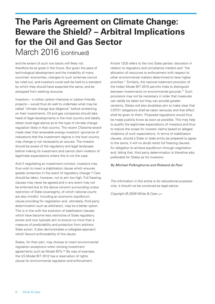## **The Paris Agreement on Climate Change: Beware the Shield? – Arbitral Implications for the Oil and Gas Sector** March 2016 (continued)

and the extent of such row backs will likely not therefore be as great in the future. But given the pace of technological development and the instability of many countries' economies, changes to such schemes cannot be ruled out, and investors could well be held to a standard by which they should have expected the same, and be estopped from seeking recourse.

Investors – in either carbon-intensive or carbon-friendly projects – would thus do well to undertake what may be called "climate change due diligence" before embarking on their investments. Oil and gas companies should take heed of legal developments in the host country and ideally obtain local legal advice as to the type of climate change regulation likely in that country. The recent *Charanne* award made clear that renewable energy investors' ignorance of indications that the investment régime in the host country may change is not necessarily an excuse. The investor should be aware of the regulatory and legal landscape before making its investment and cannot claim violation of legitimate expectations where this is not the case.

And if negotiating an investment contract, investors may thus wish to insert a stabilization clause which ensures greater protection in the event of regulatory change.19 Care should be taken, however, not to aim too high. Full freezing clauses may never be agreed and in any event may not be enforced due to the above concern surrounding undue restriction of State sovereignty, of which national courts are also mindful. Including an economic equilibrium clause providing for negotiation and, ultimately, third party determination such as arbitration, may be a better option. This is in line with the evolution of stabilization clauses which have become less restrictive of State regulatory power and now typically aim to ensure no more than a measure of predictability and protection from arbitrary State action. It also demonstrates a collegiate approach which favours enforceability of the clause.

States, for their part, may choose to insert environmental regulation exceptions when revising investment agreements such as Model BITs.20 By way of example, the US Model BIT 2012 has a reservation of rights clause for environmental regulation and enforcement.

Article 12(3) refers to the two State parties' discretion in relation to regulatory and compliance matters and "the allocation of resources to enforcement with respect to other environmental matters determined to have higher priorities." Similarly, the national treatment provision of the Indian Model BIT 2015 permits India to distinguish between investments on environmental grounds.<sup>21</sup> Such provisions may not be necessary in order that measures can validly be taken but they can provide greater certainty. States will also doubtless aim to make clear that COP21 obligations shall be taken seriously and that effect shall be given to them. Proposed regulations would thus be made publicly know as soon as possible. This may help to qualify the legitimate expectations of investors and thus to reduce the scope for investor claims based on alleged violations of such expectations. In terms of stabilization clauses, should a State or state entity be prepared to agree to the same, it will no doubt resist full freezing clauses. An obligation to achieve equilibrium through negotiation and, failing that, third party determination is therefore also preferable for States as for investors.

### *By Michael Polkinghorne and Risteard de Paor*

*The information in this article is for educational purposes only; it should not be construed as legal advice.*

*Copyright © 2009 White & Case llp*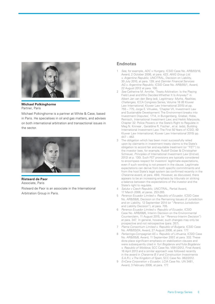

#### **Michael Polkinghorne** Partner, Paris

Michael Polkinghorne is a partner at White & Case, based in Paris. He specialises in oil and gas matters, and advises on both international arbitration and transactional issues in the sector.



**Risteard de Paor** Associate, Paris Risteard de Paor is an associate in the International Arbitration Group in Paris.

### **Endnotes**

- 1 *See*, for example, *ADC v Hungary*, ICSID Case No. ARB/03/16, Award, 2 October 2006, at para. 423; *AWG Group Ltd. v. Argentine Republic*, UNCITRAL, Decision on Liability, 30 July 2010, at para. 139; and *Daimler Financial Services AG v. Argentine Republic*, ICSID Case No. ARB/05/1, Award, 22 August 2012 at para. 100.
- 2 *See* Catherine M. Amirfar, 'Treaty Arbitration: Is the Playing Field Level and Who Decides Whether It Is Anyway?' in Albert Jan van den Berg (ed), L*egitimacy: Myths, Realities, Challenges*, ICCA Congress Series, Volume 18 (© Kluwer Law International; Kluwer Law International 2015) at pp. 755 – 775; Jorge E. Viñuales, 'Chapter VII, Investment Law and Sustainable Development: The Environment breaks into Investment Disputes', 1714, in Bungenberg, Griebel, Hobe, Reinisch, *International Investment Law*; and Heikki Marjosola, Chapter 32: Police Powers or the State's Right to Regulate in Meg N. Kinnear , Geraldine R. Fischer , et al. (eds), Building International Investment Law: The First 50 Years of ICSID, (© Kluwer Law International; Kluwer Law International 2015) pp.  $447 - 462$
- 3 The obligation which has been most successfully relied upon by claimants in investment treaty claims is the State's obligation to accord fair and equitable treatment (or "FET") to the investor (see, for example, Rudolf Dolzer & Christopher Schreuer, *Principles of International Investment Law* (2nd ed, 2012) at p. 130). Such FET provisions are typically considered to encompass respect for investors' legitimate expectations, even if such wording is not present in the clause. Legitimate expectations can derive from both specific commitments and from the host State's legal system (as confirmed recently in the *Charanne* award, at para. 494). However, as discussed, there appears to be an increasing emphasis by tribunals on striking a balance between the expectations of the investor and the State's right to regulate.
- 4 *Saluka v Czech Republic*, UNCITRAL, Partial Award, 17 March 2006, at paras. 253-265.
- 5 *Perenco Ecuador Limited v. Republic of Ecuador*, ICSID Case No. ARB/08/6, Decision on the Remaining Issues of Jurisdiction and on Liability, 12 September 2014 (or "*Perenco* Jurisdiction and Liability Decision"), at para. 705.
- 6 *Perenco Ecuador Limited v. Republic of Ecuador*, ICSID Case No. ARB/08/6, Interim Decision on the Environmental Counterclaim, 11 August 2015, (or "*Perenco* Interim Decision") at para. 347. In general, however, such changes may only be prospective and not retrospective (para. 357).
- 7 *Plama Consortium Limited v. Republic of Bulgaria*, ICSID Case No. ARB/03/24, Award, 27 August 2008, at para. 177.
- 8 *Parkerings-Compagniet AS v. Republic of Lithuania*, ICSID Case No. ARB/05/8, Award, 11 September 2007, at para. 332. These dicta place significant emphasis on stabilization clauses and were subsequently cited in *Yuri Bogdanov and Yulia Bogdanov v. Republic of Moldova*, SCC Case No. V091/2012, Final Award, 16 April 2013 and a similar approach was followed recently in the award in *Charanne B.V and Construction Investments S.A.R.L v The Kingdom of Spain*, SCC Case No. 062/2012.
- 9 *EnCana Corporation v Ecuador*, LCIA Case No. UN 3481, Award, 3 February 2006, at para. 177.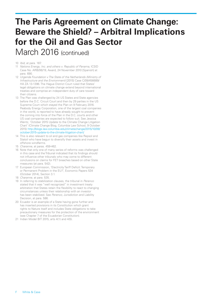# **The Paris Agreement on Climate Change: Beware the Shield? – Arbitral Implications for the Oil and Gas Sector**

March 2016 (continued)

- 10 *Ibid*, at para. 187.
- 11 *Nations Energy, Inc. and others v. Republic of Panama*, ICSID Case No. ARB/06/19, Award, 24 November 2010 [Spanish] at para. 690.
- 12 *Urgenda Foundation v The State of the Netherlands (Ministry of Infrastructure and the Environment)* [2015] Case C/09/456689/ HA ZA 13-1396. The Hague District Court ruled that States' legal obligations on climate change extend beyond international treaties and comprise an independent duty of care toward their citizens.
- 13 The Plan was challenged by 24 US States and State agencies before the D.C. Circuit Court and then by 29 parties in the US Supreme Court which stayed the Plan on 9 February 2016. Peabody Energy Corporation, one of the largest coal companies in the world, is reported to have already sought to prevent the coming into force of the Plan in the D.C. courts and other US coal companies are expected to follow suit. See Jessica Wentz, 'October 2015 Update to the Climate Change Litigation Chart' (Climate Change Blog, Columbia Law School, 9 October 2015) [http://blogs.law.columbia.edu/climatechange/2015/10/09/](http://blogs.law.columbia.edu/climatechange/2015/10/09/october-2015-update-to-the-climate-litigation) [october-2015-update-to-the-climate-litigation-chart/](http://blogs.law.columbia.edu/climatechange/2015/10/09/october-2015-update-to-the-climate-litigation)
- 14 This is also relevant to oil and gas companies like Repsol and Statoil who have begun to diversify their assets and invest in offshore windfarms.
- 15 *Charanne*, at paras. 459-462.
- 16 Note that only one of many series of reforms was challenged in this case and the Tribunal indicated that its findings should not influence other tribunals who may come to different conclusions on claims for FET breaches based on other State measures (at para. 542).
- 17 European Commission, 'Electricity Tariff Deficit: Temporary or Permanent Problem in the EU?', Economic Papers 534 (October 2014), Section 3.1.
- 18 *Charanne*, at para. 535.
- 19 In referring to stabilization clauses, the tribunal in *Perenco* stated that it was "well recognized" in investment treaty arbitration that States retain the flexibility to react to changing circumstances unless their relationship with an investor has been stabilized. See *Perenco*, Jurisdiction and Liability Decision, at para. 586.
- 20 Ecuador is an example of a State having gone further and has inserted provisions in its Constitution which grant rights to Nature itself and includes State obligations to take precautionary measures for the protection of the environment (see Chapter 7 of the Ecuadorian Constitution).
- 21 Indian Model BIT 2015, arts 4(1) and 4(5).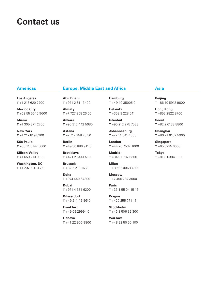### **Contact us**

### **Americas**

### **Europe, Middle East and Africa**

**Los Angeles T** +1 213 620 7700

**Mexico City T** +52 55 5540 9600

**Miami T** +1 305 371 2700

**New York T** +1 212 819 8200

**São Paulo T** +55 11 3147 5600

**Silicon Valley T** +1 650 213 0300

**Washington, DC T** +1 202 626 3600

**Abu Dhabi T** +971 2 611 3400

**Almaty T** +7 727 258 26 50

**Ankara T** +90 312 442 5680

**Astana T** +7 717 258 26 50

**Berlin T** +49 30 880 911 0

**Bratislava T** +421 2 5441 5100

**Brussels T** +32 2 219 16 20

**Doha T** +974 440 64300

**Dubai T** +971 4 381 6200

**Düsseldorf T** +49 211 49195 0

**Frankfurt T** +49 69 29994 0

**Geneva T** +41 22 906 9800

### **Hamburg T** +49 40 35005 0

**Helsinki**

**T** +358 9 228 641 **Istanbul T** +90 212 275 7533

**Johannesburg T** +27 11 341 4000

**London T** +44 20 7532 1000

**Madrid T** +34 91 787 6300

**Milan T** +39 02 00688 300

**Moscow T** +7 495 787 3000

**Paris T** +33 1 55 04 15 15

**Prague T** +420 255 771 111

**Stockholm T** +46 8 506 32 300

**Warsaw T** +48 22 50 50 100

### **Asia**

**Beijing T** +86 10 5912 9600

**Hong Kong T** +852 2822 8700

**Seoul T** +82 2 6138 8800

**Shanghai T** +86 21 6132 5900

**Singapore T** +65 6225 6000

**Tokyo T** +81 3 6384 3300